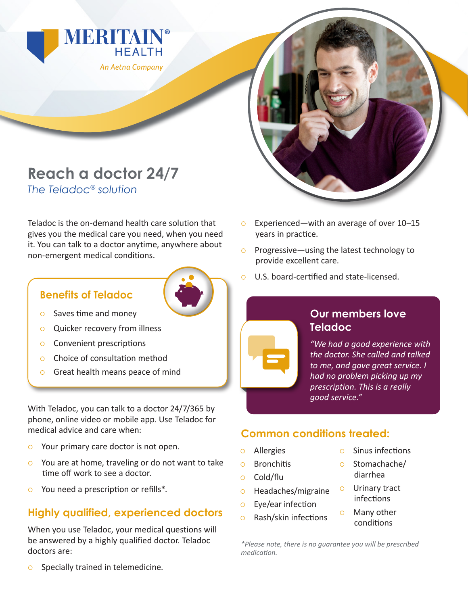



Teladoc is the on-demand health care solution that gives you the medical care you need, when you need it. You can talk to a doctor anytime, anywhere about non-emergent medical conditions.

#### **Benefits of Teladoc**



- $\circ$  Saves time and money
- **Quicker recovery from illness**
- $\circ$  Convenient prescriptions
- { Choice of consultation method
- **o** Great health means peace of mind

With Teladoc, you can talk to a doctor 24/7/365 by phone, online video or mobile app. Use Teladoc for medical advice and care when:

- **Solut primary care doctor is not open.**
- $\circ$  You are at home, traveling or do not want to take time off work to see a doctor.
- $\circ$  You need a prescription or refills<sup>\*</sup>.

# **Highly qualified, experienced doctors**

When you use Teladoc, your medical questions will be answered by a highly qualified doctor. Teladoc doctors are:



- { Experienced—with an average of over 10–15 years in practice.
- $\circ$  Progressive—using the latest technology to provide excellent care.
- { U.S. board-certified and state-licensed.



### **Our members love Teladoc**

*"We had a good experience with the doctor. She called and talked to me, and gave great service. I had no problem picking up my prescription. This is a really good service."*

## **Common conditions treated:**

- { Allergies
- { Bronchitis
- { Cold/flu
- o Headaches/migraine
- $\circ$  Eye/ear infection
- $\circ$  Rash/skin infections
- $\circ$  Sinus infections
- $\circ$  Stomachache/ diarrhea
- { Urinary tract infections
- { Many other conditions

*\*Please note, there is no guarantee you will be prescribed medication.*

**Specially trained in telemedicine.**